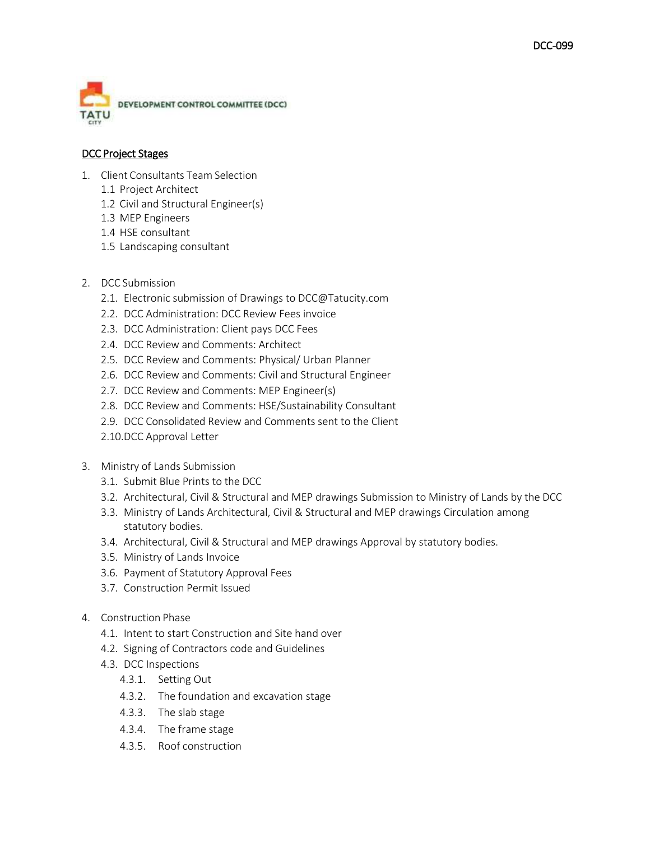

## DCC Project Stages

- 1. Client Consultants Team Selection
	- 1.1 Project Architect
	- 1.2 Civil and Structural Engineer(s)
	- 1.3 MEP Engineers
	- 1.4 HSE consultant
	- 1.5 Landscaping consultant
- 2. DCC Submission
	- 2.1. Electronic submission of Drawings to [DCC@Tatucity.com](mailto:DCC@Tatucity.com)
	- 2.2. DCC Administration: DCC Review Fees invoice
	- 2.3. DCC Administration: Client pays DCC Fees
	- 2.4. DCC Review and Comments: Architect
	- 2.5. DCC Review and Comments: Physical/ Urban Planner
	- 2.6. DCC Review and Comments: Civil and Structural Engineer
	- 2.7. DCC Review and Comments: MEP Engineer(s)
	- 2.8. DCC Review and Comments: HSE/Sustainability Consultant
	- 2.9. DCC Consolidated Review and Comments sent to the Client
	- 2.10.DCC Approval Letter
- 3. Ministry of Lands Submission
	- 3.1. Submit Blue Prints to the DCC
	- 3.2. Architectural, Civil & Structural and MEP drawings Submission to Ministry of Lands by the DCC
	- 3.3. Ministry of Lands Architectural, Civil & Structural and MEP drawings Circulation among statutory bodies.
	- 3.4. Architectural, Civil & Structural and MEP drawings Approval by statutory bodies.
	- 3.5. Ministry of Lands Invoice
	- 3.6. Payment of Statutory Approval Fees
	- 3.7. Construction Permit Issued
- 4. Construction Phase
	- 4.1. Intent to start Construction and Site hand over
	- 4.2. Signing of Contractors code and Guidelines
	- 4.3. DCC Inspections
		- 4.3.1. Setting Out
		- 4.3.2. The foundation and excavation stage
		- 4.3.3. The slab stage
		- 4.3.4. The frame stage
		- 4.3.5. Roof construction